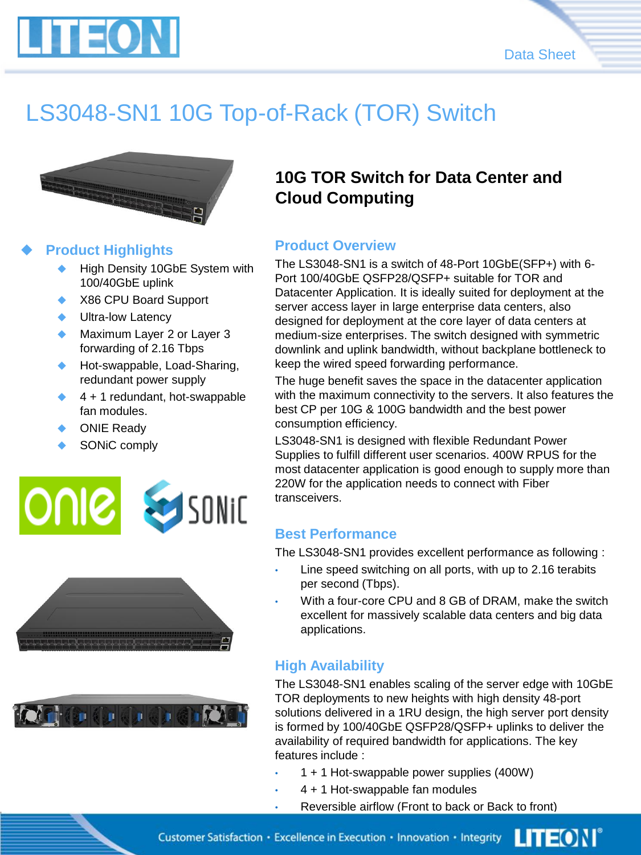



# LS3048-SN1 10G Top-of-Rack (TOR) Switch



#### **Product Highlights**

- High Density 10GbE System with 100/40GbE uplink
- X86 CPU Board Support
- ◆ Ultra-low Latency
- ◆ Maximum Layer 2 or Layer 3 forwarding of 2.16 Tbps
- Hot-swappable, Load-Sharing, redundant power supply
- 4 + 1 redundant, hot-swappable fan modules.
- ONIE Ready
- SONiC comply







### **10G TOR Switch for Data Center and Cloud Computing**

#### **Product Overview**

The LS3048-SN1 is a switch of 48-Port 10GbE(SFP+) with 6- Port 100/40GbE QSFP28/QSFP+ suitable for TOR and Datacenter Application. It is ideally suited for deployment at the server access layer in large enterprise data centers, also designed for deployment at the core layer of data centers at medium-size enterprises. The switch designed with symmetric downlink and uplink bandwidth, without backplane bottleneck to keep the wired speed forwarding performance.

The huge benefit saves the space in the datacenter application with the maximum connectivity to the servers. It also features the best CP per 10G & 100G bandwidth and the best power consumption efficiency.

LS3048-SN1 is designed with flexible Redundant Power Supplies to fulfill different user scenarios. 400W RPUS for the most datacenter application is good enough to supply more than 220W for the application needs to connect with Fiber transceivers.

#### **Best Performance**

The LS3048-SN1 provides excellent performance as following :

- Line speed switching on all ports, with up to 2.16 terabits per second (Tbps).
- With a four-core CPU and 8 GB of DRAM, make the switch excellent for massively scalable data centers and big data applications.

### **High Availability**

The LS3048-SN1 enables scaling of the server edge with 10GbE TOR deployments to new heights with high density 48-port solutions delivered in a 1RU design, the high server port density is formed by 100/40GbE QSFP28/QSFP+ uplinks to deliver the availability of required bandwidth for applications. The key features include :

- 1 + 1 Hot-swappable power supplies (400W)
- 4 + 1 Hot-swappable fan modules
- Reversible airflow (Front to back or Back to front)